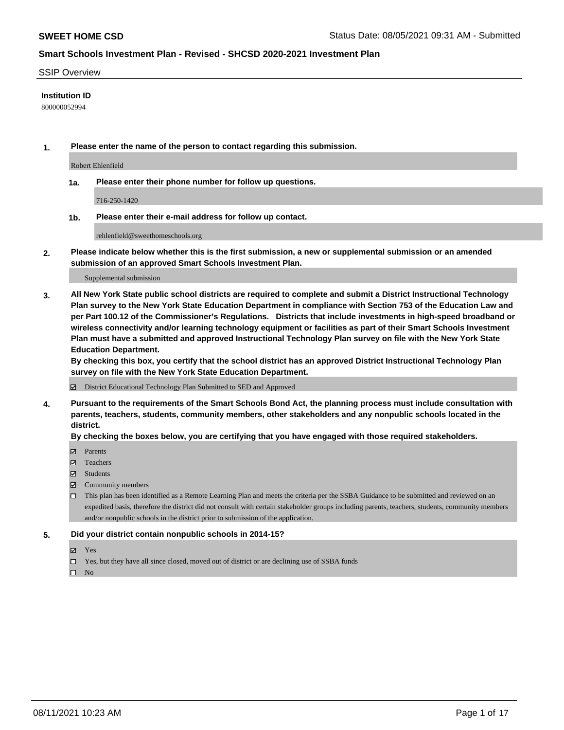#### SSIP Overview

#### **Institution ID**

800000052994

**1. Please enter the name of the person to contact regarding this submission.**

Robert Ehlenfield

**1a. Please enter their phone number for follow up questions.**

716-250-1420

**1b. Please enter their e-mail address for follow up contact.**

rehlenfield@sweethomeschools.org

**2. Please indicate below whether this is the first submission, a new or supplemental submission or an amended submission of an approved Smart Schools Investment Plan.**

#### Supplemental submission

**3. All New York State public school districts are required to complete and submit a District Instructional Technology Plan survey to the New York State Education Department in compliance with Section 753 of the Education Law and per Part 100.12 of the Commissioner's Regulations. Districts that include investments in high-speed broadband or wireless connectivity and/or learning technology equipment or facilities as part of their Smart Schools Investment Plan must have a submitted and approved Instructional Technology Plan survey on file with the New York State Education Department.** 

**By checking this box, you certify that the school district has an approved District Instructional Technology Plan survey on file with the New York State Education Department.**

District Educational Technology Plan Submitted to SED and Approved

**4. Pursuant to the requirements of the Smart Schools Bond Act, the planning process must include consultation with parents, teachers, students, community members, other stakeholders and any nonpublic schools located in the district.** 

#### **By checking the boxes below, you are certifying that you have engaged with those required stakeholders.**

- **Parents**
- Teachers
- Students
- $\boxtimes$  Community members
- This plan has been identified as a Remote Learning Plan and meets the criteria per the SSBA Guidance to be submitted and reviewed on an expedited basis, therefore the district did not consult with certain stakeholder groups including parents, teachers, students, community members and/or nonpublic schools in the district prior to submission of the application.
- **5. Did your district contain nonpublic schools in 2014-15?**
	- Yes
	- □ Yes, but they have all since closed, moved out of district or are declining use of SSBA funds

 $\hfill \square$  No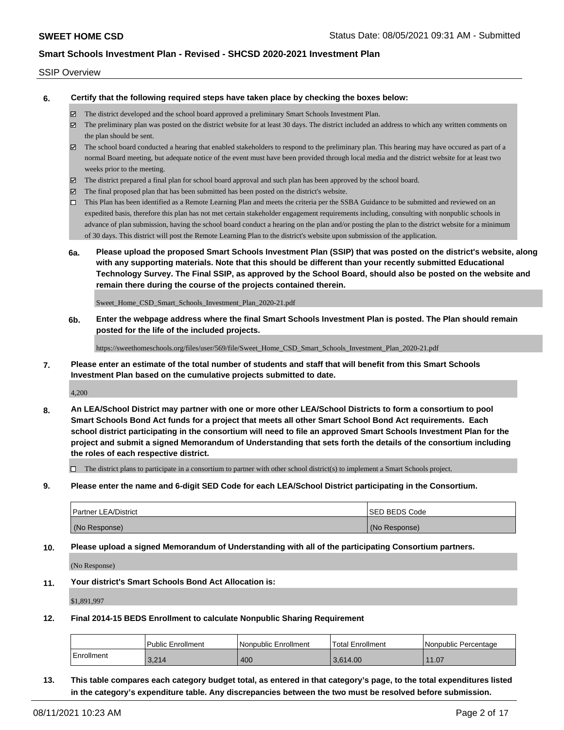#### SSIP Overview

**6. Certify that the following required steps have taken place by checking the boxes below:**

- The district developed and the school board approved a preliminary Smart Schools Investment Plan.
- The preliminary plan was posted on the district website for at least 30 days. The district included an address to which any written comments on the plan should be sent.
- The school board conducted a hearing that enabled stakeholders to respond to the preliminary plan. This hearing may have occured as part of a normal Board meeting, but adequate notice of the event must have been provided through local media and the district website for at least two weeks prior to the meeting.
- The district prepared a final plan for school board approval and such plan has been approved by the school board.
- $\boxtimes$  The final proposed plan that has been submitted has been posted on the district's website.
- This Plan has been identified as a Remote Learning Plan and meets the criteria per the SSBA Guidance to be submitted and reviewed on an expedited basis, therefore this plan has not met certain stakeholder engagement requirements including, consulting with nonpublic schools in advance of plan submission, having the school board conduct a hearing on the plan and/or posting the plan to the district website for a minimum of 30 days. This district will post the Remote Learning Plan to the district's website upon submission of the application.
- **6a. Please upload the proposed Smart Schools Investment Plan (SSIP) that was posted on the district's website, along with any supporting materials. Note that this should be different than your recently submitted Educational Technology Survey. The Final SSIP, as approved by the School Board, should also be posted on the website and remain there during the course of the projects contained therein.**

Sweet\_Home\_CSD\_Smart\_Schools\_Investment\_Plan\_2020-21.pdf

**6b. Enter the webpage address where the final Smart Schools Investment Plan is posted. The Plan should remain posted for the life of the included projects.**

https://sweethomeschools.org/files/user/569/file/Sweet\_Home\_CSD\_Smart\_Schools\_Investment\_Plan\_2020-21.pdf

**7. Please enter an estimate of the total number of students and staff that will benefit from this Smart Schools Investment Plan based on the cumulative projects submitted to date.**

4,200

**8. An LEA/School District may partner with one or more other LEA/School Districts to form a consortium to pool Smart Schools Bond Act funds for a project that meets all other Smart School Bond Act requirements. Each school district participating in the consortium will need to file an approved Smart Schools Investment Plan for the project and submit a signed Memorandum of Understanding that sets forth the details of the consortium including the roles of each respective district.**

 $\Box$  The district plans to participate in a consortium to partner with other school district(s) to implement a Smart Schools project.

**9. Please enter the name and 6-digit SED Code for each LEA/School District participating in the Consortium.**

| <b>Partner LEA/District</b> | <b>ISED BEDS Code</b> |
|-----------------------------|-----------------------|
| (No Response)               | (No Response)         |

**10. Please upload a signed Memorandum of Understanding with all of the participating Consortium partners.**

(No Response)

**11. Your district's Smart Schools Bond Act Allocation is:**

\$1,891,997

**12. Final 2014-15 BEDS Enrollment to calculate Nonpublic Sharing Requirement**

|            | Public Enrollment | l Nonpublic Enrollment | Total Enrollment | INonpublic Percentage |
|------------|-------------------|------------------------|------------------|-----------------------|
| Enrollment | 3.214             | 400                    | 3.614.00         | 11.07                 |

**13. This table compares each category budget total, as entered in that category's page, to the total expenditures listed in the category's expenditure table. Any discrepancies between the two must be resolved before submission.**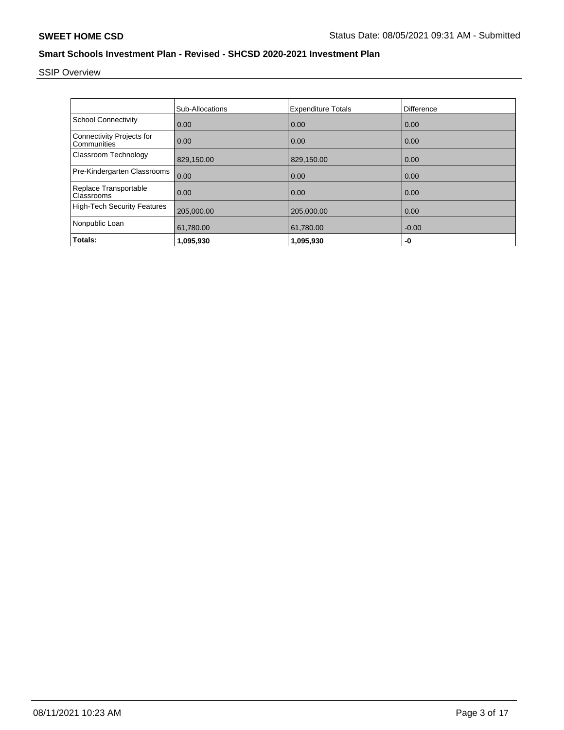# SSIP Overview

|                                                 | <b>Sub-Allocations</b> | <b>Expenditure Totals</b> | <b>Difference</b> |
|-------------------------------------------------|------------------------|---------------------------|-------------------|
| <b>School Connectivity</b>                      | 0.00                   | 0.00                      | 0.00              |
| <b>Connectivity Projects for</b><br>Communities | 0.00                   | 0.00                      | 0.00              |
| Classroom Technology                            | 829,150.00             | 829,150.00                | 0.00              |
| Pre-Kindergarten Classrooms                     | 0.00                   | 0.00                      | 0.00              |
| Replace Transportable<br>Classrooms             | 0.00                   | 0.00                      | 0.00              |
| <b>High-Tech Security Features</b>              | 205,000.00             | 205,000.00                | 0.00              |
| Nonpublic Loan                                  | 61,780.00              | 61,780.00                 | $-0.00$           |
| Totals:                                         | 1,095,930              | 1,095,930                 | -0                |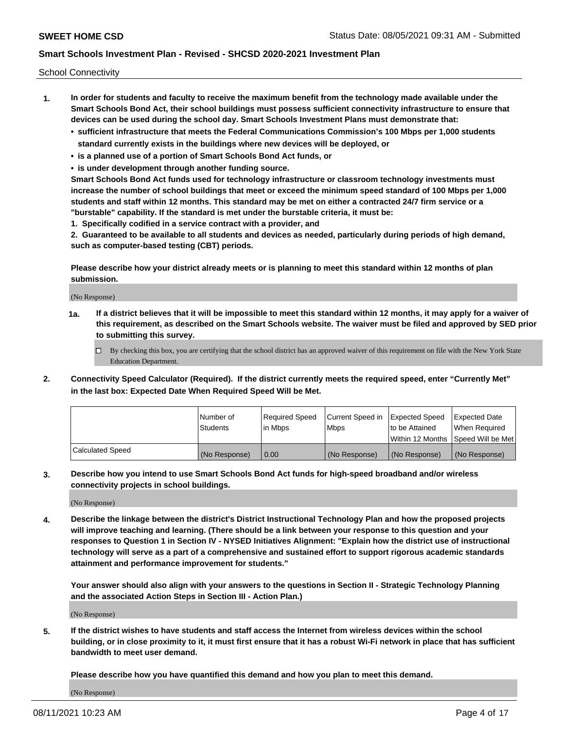School Connectivity

- **1. In order for students and faculty to receive the maximum benefit from the technology made available under the Smart Schools Bond Act, their school buildings must possess sufficient connectivity infrastructure to ensure that devices can be used during the school day. Smart Schools Investment Plans must demonstrate that:**
	- **• sufficient infrastructure that meets the Federal Communications Commission's 100 Mbps per 1,000 students standard currently exists in the buildings where new devices will be deployed, or**
	- **• is a planned use of a portion of Smart Schools Bond Act funds, or**
	- **• is under development through another funding source.**

**Smart Schools Bond Act funds used for technology infrastructure or classroom technology investments must increase the number of school buildings that meet or exceed the minimum speed standard of 100 Mbps per 1,000 students and staff within 12 months. This standard may be met on either a contracted 24/7 firm service or a "burstable" capability. If the standard is met under the burstable criteria, it must be:**

**1. Specifically codified in a service contract with a provider, and**

**2. Guaranteed to be available to all students and devices as needed, particularly during periods of high demand, such as computer-based testing (CBT) periods.**

**Please describe how your district already meets or is planning to meet this standard within 12 months of plan submission.**

(No Response)

**1a. If a district believes that it will be impossible to meet this standard within 12 months, it may apply for a waiver of this requirement, as described on the Smart Schools website. The waiver must be filed and approved by SED prior to submitting this survey.**

 $\Box$  By checking this box, you are certifying that the school district has an approved waiver of this requirement on file with the New York State Education Department.

**2. Connectivity Speed Calculator (Required). If the district currently meets the required speed, enter "Currently Met" in the last box: Expected Date When Required Speed Will be Met.**

|                  | l Number of     | Required Speed | Current Speed in | Expected Speed  | Expected Date                           |
|------------------|-----------------|----------------|------------------|-----------------|-----------------------------------------|
|                  | <b>Students</b> | In Mbps        | l Mbps           | to be Attained  | When Required                           |
|                  |                 |                |                  |                 | l Within 12 Months ISpeed Will be Met l |
| Calculated Speed | (No Response)   | 0.00           | (No Response)    | l (No Response) | l (No Response)                         |

**3. Describe how you intend to use Smart Schools Bond Act funds for high-speed broadband and/or wireless connectivity projects in school buildings.**

(No Response)

**4. Describe the linkage between the district's District Instructional Technology Plan and how the proposed projects will improve teaching and learning. (There should be a link between your response to this question and your responses to Question 1 in Section IV - NYSED Initiatives Alignment: "Explain how the district use of instructional technology will serve as a part of a comprehensive and sustained effort to support rigorous academic standards attainment and performance improvement for students."** 

**Your answer should also align with your answers to the questions in Section II - Strategic Technology Planning and the associated Action Steps in Section III - Action Plan.)**

(No Response)

**5. If the district wishes to have students and staff access the Internet from wireless devices within the school building, or in close proximity to it, it must first ensure that it has a robust Wi-Fi network in place that has sufficient bandwidth to meet user demand.**

**Please describe how you have quantified this demand and how you plan to meet this demand.**

(No Response)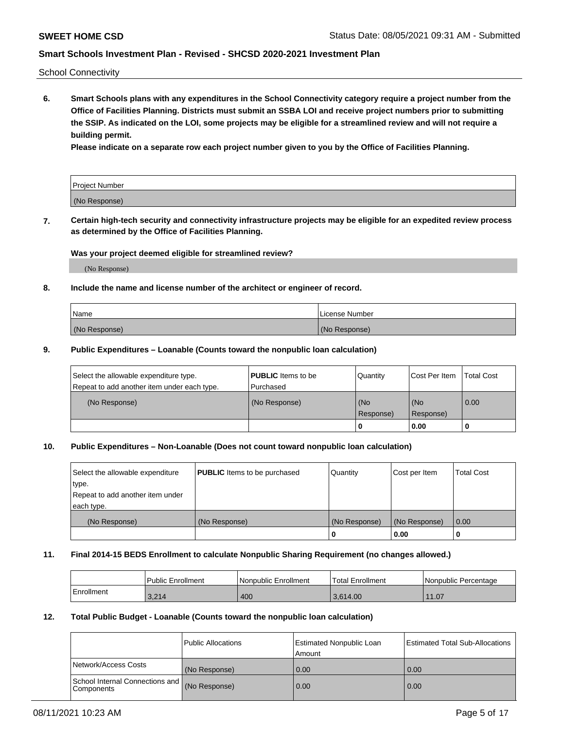School Connectivity

**6. Smart Schools plans with any expenditures in the School Connectivity category require a project number from the Office of Facilities Planning. Districts must submit an SSBA LOI and receive project numbers prior to submitting the SSIP. As indicated on the LOI, some projects may be eligible for a streamlined review and will not require a building permit.**

**Please indicate on a separate row each project number given to you by the Office of Facilities Planning.**

| Project Number |  |
|----------------|--|
| (No Response)  |  |

**7. Certain high-tech security and connectivity infrastructure projects may be eligible for an expedited review process as determined by the Office of Facilities Planning.**

#### **Was your project deemed eligible for streamlined review?**

(No Response)

### **8. Include the name and license number of the architect or engineer of record.**

| Name          | License Number |
|---------------|----------------|
| (No Response) | (No Response)  |

#### **9. Public Expenditures – Loanable (Counts toward the nonpublic loan calculation)**

| Select the allowable expenditure type.<br>Repeat to add another item under each type. | <b>PUBLIC</b> Items to be<br>l Purchased | Quantity           | Cost Per Item    | <b>Total Cost</b> |
|---------------------------------------------------------------------------------------|------------------------------------------|--------------------|------------------|-------------------|
| (No Response)                                                                         | (No Response)                            | l (No<br>Response) | (No<br>Response) | $\overline{0.00}$ |
|                                                                                       |                                          | O                  | 0.00             |                   |

### **10. Public Expenditures – Non-Loanable (Does not count toward nonpublic loan calculation)**

| Select the allowable expenditure | <b>PUBLIC</b> Items to be purchased | Quantity      | Cost per Item | <b>Total Cost</b> |
|----------------------------------|-------------------------------------|---------------|---------------|-------------------|
| type.                            |                                     |               |               |                   |
| Repeat to add another item under |                                     |               |               |                   |
| each type.                       |                                     |               |               |                   |
| (No Response)                    | (No Response)                       | (No Response) | (No Response) | 0.00              |
|                                  |                                     |               | 0.00          |                   |

#### **11. Final 2014-15 BEDS Enrollment to calculate Nonpublic Sharing Requirement (no changes allowed.)**

|            | l Public Enrollment | Nonpublic Enrollment | 'Total Enrollment | l Nonpublic Percentage |
|------------|---------------------|----------------------|-------------------|------------------------|
| Enrollment | 3,214               | 400                  | 3.614.00          | 11.07                  |

### **12. Total Public Budget - Loanable (Counts toward the nonpublic loan calculation)**

|                                                      | Public Allocations | <b>Estimated Nonpublic Loan</b><br>Amount | Estimated Total Sub-Allocations |
|------------------------------------------------------|--------------------|-------------------------------------------|---------------------------------|
| Network/Access Costs                                 | (No Response)      | 0.00                                      | 0.00                            |
| School Internal Connections and<br><b>Components</b> | (No Response)      | 0.00                                      | 0.00                            |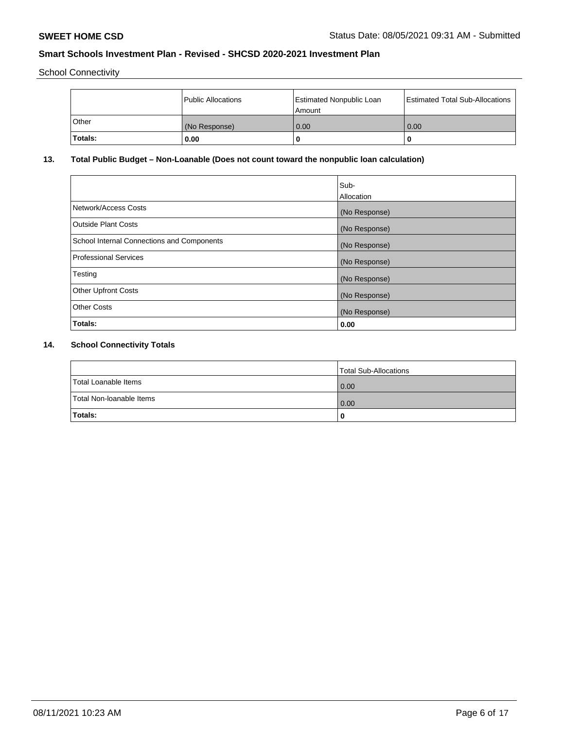School Connectivity

|         | Public Allocations | <b>Estimated Nonpublic Loan</b><br>Amount | <b>Estimated Total Sub-Allocations</b> |
|---------|--------------------|-------------------------------------------|----------------------------------------|
| l Other | (No Response)      | 0.00                                      | 0.00                                   |
| Totals: | 0.00               | 0                                         |                                        |

# **13. Total Public Budget – Non-Loanable (Does not count toward the nonpublic loan calculation)**

|                                                   | Sub-<br>Allocation |
|---------------------------------------------------|--------------------|
|                                                   |                    |
| Network/Access Costs                              | (No Response)      |
| <b>Outside Plant Costs</b>                        | (No Response)      |
| <b>School Internal Connections and Components</b> | (No Response)      |
| Professional Services                             | (No Response)      |
| Testing                                           | (No Response)      |
| <b>Other Upfront Costs</b>                        | (No Response)      |
| <b>Other Costs</b>                                | (No Response)      |
| <b>Totals:</b>                                    | 0.00               |

# **14. School Connectivity Totals**

|                          | Total Sub-Allocations |
|--------------------------|-----------------------|
| Total Loanable Items     | 0.00                  |
| Total Non-Ioanable Items | 0.00                  |
| Totals:                  |                       |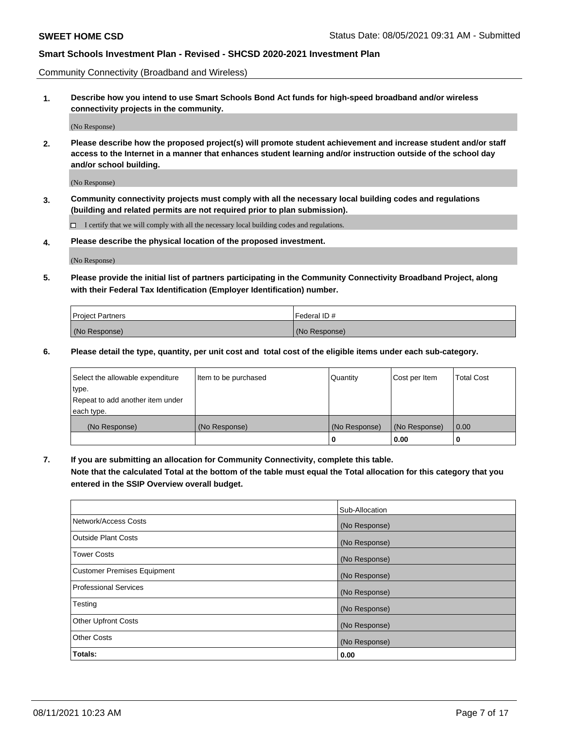Community Connectivity (Broadband and Wireless)

**1. Describe how you intend to use Smart Schools Bond Act funds for high-speed broadband and/or wireless connectivity projects in the community.**

(No Response)

**2. Please describe how the proposed project(s) will promote student achievement and increase student and/or staff access to the Internet in a manner that enhances student learning and/or instruction outside of the school day and/or school building.**

(No Response)

**3. Community connectivity projects must comply with all the necessary local building codes and regulations (building and related permits are not required prior to plan submission).**

 $\Box$  I certify that we will comply with all the necessary local building codes and regulations.

**4. Please describe the physical location of the proposed investment.**

(No Response)

**5. Please provide the initial list of partners participating in the Community Connectivity Broadband Project, along with their Federal Tax Identification (Employer Identification) number.**

| <b>Project Partners</b> | l Federal ID # |
|-------------------------|----------------|
| (No Response)           | (No Response)  |

**6. Please detail the type, quantity, per unit cost and total cost of the eligible items under each sub-category.**

| Select the allowable expenditure | Item to be purchased | Quantity      | Cost per Item | <b>Total Cost</b> |
|----------------------------------|----------------------|---------------|---------------|-------------------|
| type.                            |                      |               |               |                   |
| Repeat to add another item under |                      |               |               |                   |
| each type.                       |                      |               |               |                   |
| (No Response)                    | (No Response)        | (No Response) | (No Response) | 0.00              |
|                                  |                      | U             | 0.00          |                   |

**7. If you are submitting an allocation for Community Connectivity, complete this table.**

**Note that the calculated Total at the bottom of the table must equal the Total allocation for this category that you entered in the SSIP Overview overall budget.**

|                                    | Sub-Allocation |
|------------------------------------|----------------|
| Network/Access Costs               | (No Response)  |
| Outside Plant Costs                | (No Response)  |
| <b>Tower Costs</b>                 | (No Response)  |
| <b>Customer Premises Equipment</b> | (No Response)  |
| <b>Professional Services</b>       | (No Response)  |
| Testing                            | (No Response)  |
| <b>Other Upfront Costs</b>         | (No Response)  |
| <b>Other Costs</b>                 | (No Response)  |
| Totals:                            | 0.00           |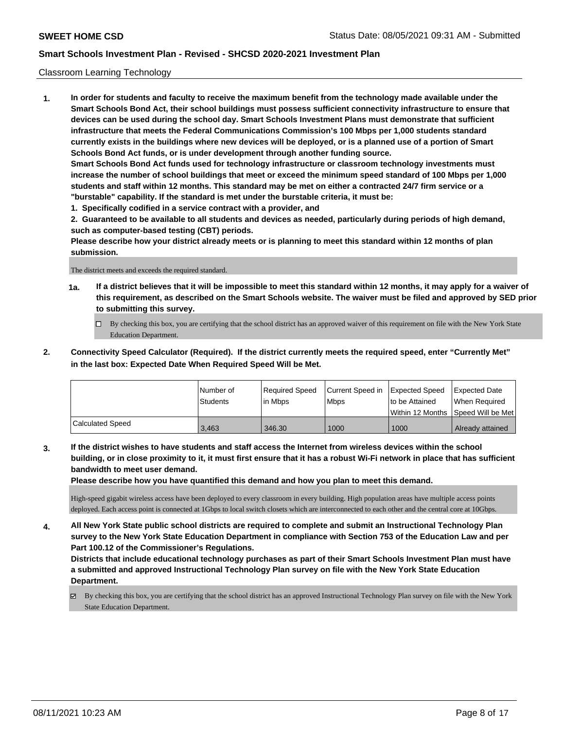#### Classroom Learning Technology

**1. In order for students and faculty to receive the maximum benefit from the technology made available under the Smart Schools Bond Act, their school buildings must possess sufficient connectivity infrastructure to ensure that devices can be used during the school day. Smart Schools Investment Plans must demonstrate that sufficient infrastructure that meets the Federal Communications Commission's 100 Mbps per 1,000 students standard currently exists in the buildings where new devices will be deployed, or is a planned use of a portion of Smart Schools Bond Act funds, or is under development through another funding source. Smart Schools Bond Act funds used for technology infrastructure or classroom technology investments must increase the number of school buildings that meet or exceed the minimum speed standard of 100 Mbps per 1,000 students and staff within 12 months. This standard may be met on either a contracted 24/7 firm service or a "burstable" capability. If the standard is met under the burstable criteria, it must be:**

**1. Specifically codified in a service contract with a provider, and**

**2. Guaranteed to be available to all students and devices as needed, particularly during periods of high demand, such as computer-based testing (CBT) periods.**

**Please describe how your district already meets or is planning to meet this standard within 12 months of plan submission.**

The district meets and exceeds the required standard.

- **1a. If a district believes that it will be impossible to meet this standard within 12 months, it may apply for a waiver of this requirement, as described on the Smart Schools website. The waiver must be filed and approved by SED prior to submitting this survey.**
	- By checking this box, you are certifying that the school district has an approved waiver of this requirement on file with the New York State Education Department.
- **2. Connectivity Speed Calculator (Required). If the district currently meets the required speed, enter "Currently Met" in the last box: Expected Date When Required Speed Will be Met.**

|                  | l Number of     | Required Speed | Current Speed in Expected Speed |                | <b>Expected Date</b>                 |
|------------------|-----------------|----------------|---------------------------------|----------------|--------------------------------------|
|                  | <b>Students</b> | lin Mbps       | <b>Mbps</b>                     | to be Attained | When Required                        |
|                  |                 |                |                                 |                | Within 12 Months 1Speed Will be Met1 |
| Calculated Speed | 3.463           | 346.30         | 1000                            | 1000           | Already attained                     |

**3. If the district wishes to have students and staff access the Internet from wireless devices within the school building, or in close proximity to it, it must first ensure that it has a robust Wi-Fi network in place that has sufficient bandwidth to meet user demand.**

**Please describe how you have quantified this demand and how you plan to meet this demand.**

High-speed gigabit wireless access have been deployed to every classroom in every building. High population areas have multiple access points deployed. Each access point is connected at 1Gbps to local switch closets which are interconnected to each other and the central core at 10Gbps.

**4. All New York State public school districts are required to complete and submit an Instructional Technology Plan survey to the New York State Education Department in compliance with Section 753 of the Education Law and per Part 100.12 of the Commissioner's Regulations.**

**Districts that include educational technology purchases as part of their Smart Schools Investment Plan must have a submitted and approved Instructional Technology Plan survey on file with the New York State Education Department.**

 $\boxtimes$  By checking this box, you are certifying that the school district has an approved Instructional Technology Plan survey on file with the New York State Education Department.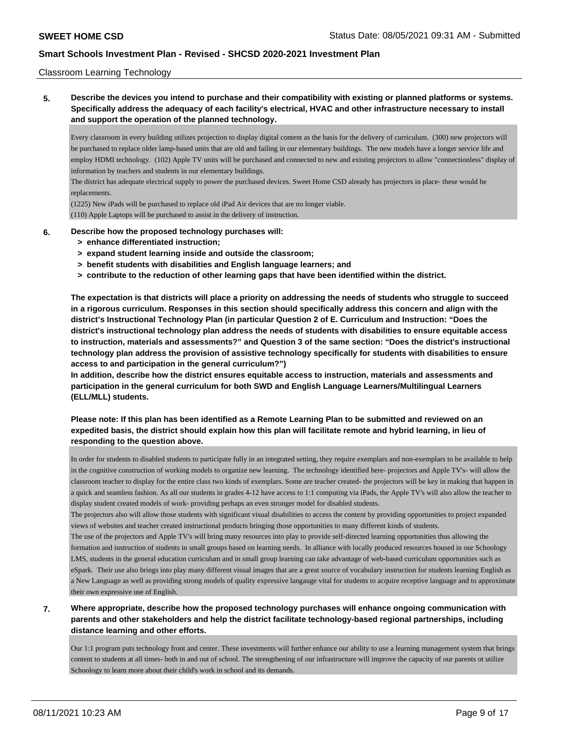#### Classroom Learning Technology

**5. Describe the devices you intend to purchase and their compatibility with existing or planned platforms or systems. Specifically address the adequacy of each facility's electrical, HVAC and other infrastructure necessary to install and support the operation of the planned technology.**

Every classroom in every building utilizes projection to display digital content as the basis for the delivery of curriculum. (300) new projectors will be purchased to replace older lamp-based units that are old and failing in our elementary buildings. The new models have a longer service life and employ HDMI technology. (102) Apple TV units will be purchased and connected to new and existing projectors to allow "connectionless" display of information by teachers and students in our elementary buildings.

The district has adequate electrical supply to power the purchased devices. Sweet Home CSD already has projectors in place- these would be replacements.

(1225) New iPads will be purchased to replace old iPad Air devices that are no longer viable. (110) Apple Laptops will be purchased to assist in the delivery of instruction.

#### **6. Describe how the proposed technology purchases will:**

- **> enhance differentiated instruction;**
- **> expand student learning inside and outside the classroom;**
- **> benefit students with disabilities and English language learners; and**
- **> contribute to the reduction of other learning gaps that have been identified within the district.**

**The expectation is that districts will place a priority on addressing the needs of students who struggle to succeed in a rigorous curriculum. Responses in this section should specifically address this concern and align with the district's Instructional Technology Plan (in particular Question 2 of E. Curriculum and Instruction: "Does the district's instructional technology plan address the needs of students with disabilities to ensure equitable access to instruction, materials and assessments?" and Question 3 of the same section: "Does the district's instructional technology plan address the provision of assistive technology specifically for students with disabilities to ensure access to and participation in the general curriculum?")**

**In addition, describe how the district ensures equitable access to instruction, materials and assessments and participation in the general curriculum for both SWD and English Language Learners/Multilingual Learners (ELL/MLL) students.**

## **Please note: If this plan has been identified as a Remote Learning Plan to be submitted and reviewed on an expedited basis, the district should explain how this plan will facilitate remote and hybrid learning, in lieu of responding to the question above.**

In order for students to disabled students to participate fully in an integrated setting, they require exemplars and non-exemplars to be available to help in the cognitive construction of working models to organize new learning. The technology identified here- projectors and Apple TV's- will allow the classroom teacher to display for the entire class two kinds of exemplars. Some are teacher created- the projectors will be key in making that happen in a quick and seamless fashion. As all our students in grades 4-12 have access to 1:1 computing via iPads, the Apple TV's will also allow the teacher to display student created models of work- providing perhaps an even stronger model for disabled students.

The projectors also will allow those students with significant visual disabilities to access the content by providing opportunities to project expanded views of websites and teacher created instructional products bringing those opportunities to many different kinds of students.

The use of the projectors and Apple TV's will bring many resources into play to provide self-directed learning opportunities thus allowing the formation and instruction of students in small groups based on learning needs. In alliance with locally produced resources housed in our Schoology LMS, students in the general education curriculum and in small group learning can take advantage of web-based curriculum opportunities such as eSpark. Their use also brings into play many different visual images that are a great source of vocabulary instruction for students learning English as a New Language as well as providing strong models of quality expressive langauge vital for students to acquire receptive language and to approximate their own expressive use of English.

## **7. Where appropriate, describe how the proposed technology purchases will enhance ongoing communication with parents and other stakeholders and help the district facilitate technology-based regional partnerships, including distance learning and other efforts.**

Our 1:1 program puts technology front and center. These investments will further enhance our ability to use a learning management system that brings content to students at all times- both in and out of school. The strengthening of our infrastructure will improve the capacity of our parents ot utilize Schoology to learn more about their child's work in school and its demands.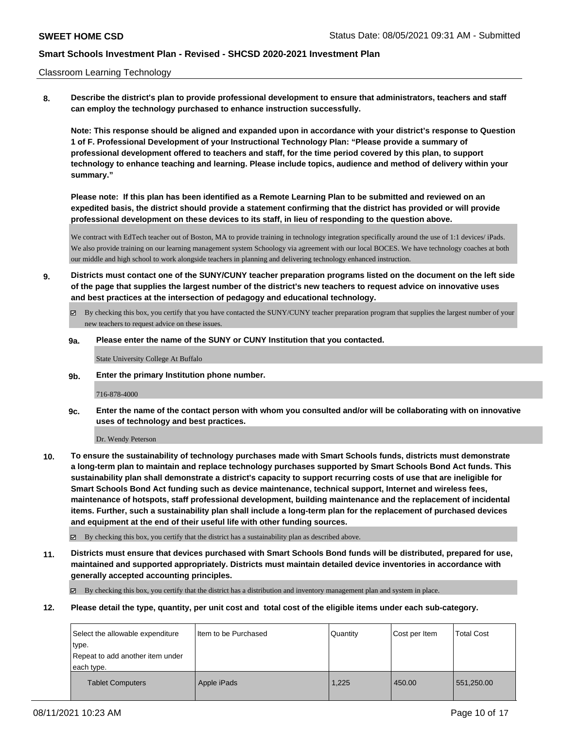#### Classroom Learning Technology

**8. Describe the district's plan to provide professional development to ensure that administrators, teachers and staff can employ the technology purchased to enhance instruction successfully.**

**Note: This response should be aligned and expanded upon in accordance with your district's response to Question 1 of F. Professional Development of your Instructional Technology Plan: "Please provide a summary of professional development offered to teachers and staff, for the time period covered by this plan, to support technology to enhance teaching and learning. Please include topics, audience and method of delivery within your summary."**

**Please note: If this plan has been identified as a Remote Learning Plan to be submitted and reviewed on an expedited basis, the district should provide a statement confirming that the district has provided or will provide professional development on these devices to its staff, in lieu of responding to the question above.**

We contract with EdTech teacher out of Boston, MA to provide training in technology integration specifically around the use of 1:1 devices/ iPads. We also provide training on our learning management system Schoology via agreement with our local BOCES. We have technology coaches at both our middle and high school to work alongside teachers in planning and delivering technology enhanced instruction.

- **9. Districts must contact one of the SUNY/CUNY teacher preparation programs listed on the document on the left side of the page that supplies the largest number of the district's new teachers to request advice on innovative uses and best practices at the intersection of pedagogy and educational technology.**
	- By checking this box, you certify that you have contacted the SUNY/CUNY teacher preparation program that supplies the largest number of your new teachers to request advice on these issues.

#### **9a. Please enter the name of the SUNY or CUNY Institution that you contacted.**

State University College At Buffalo

**9b. Enter the primary Institution phone number.**

#### 716-878-4000

**9c. Enter the name of the contact person with whom you consulted and/or will be collaborating with on innovative uses of technology and best practices.**

Dr. Wendy Peterson

**10. To ensure the sustainability of technology purchases made with Smart Schools funds, districts must demonstrate a long-term plan to maintain and replace technology purchases supported by Smart Schools Bond Act funds. This sustainability plan shall demonstrate a district's capacity to support recurring costs of use that are ineligible for Smart Schools Bond Act funding such as device maintenance, technical support, Internet and wireless fees, maintenance of hotspots, staff professional development, building maintenance and the replacement of incidental items. Further, such a sustainability plan shall include a long-term plan for the replacement of purchased devices and equipment at the end of their useful life with other funding sources.**

By checking this box, you certify that the district has a sustainability plan as described above.

**11. Districts must ensure that devices purchased with Smart Schools Bond funds will be distributed, prepared for use, maintained and supported appropriately. Districts must maintain detailed device inventories in accordance with generally accepted accounting principles.**

By checking this box, you certify that the district has a distribution and inventory management plan and system in place.

**12. Please detail the type, quantity, per unit cost and total cost of the eligible items under each sub-category.**

| Select the allowable expenditure | I Item to be Purchased | l Quantitv | Cost per Item | <b>Total Cost</b> |
|----------------------------------|------------------------|------------|---------------|-------------------|
| type.                            |                        |            |               |                   |
| Repeat to add another item under |                        |            |               |                   |
| each type.                       |                        |            |               |                   |
| <b>Tablet Computers</b>          | Apple iPads            | 1.225      | 450.00        | 551,250.00        |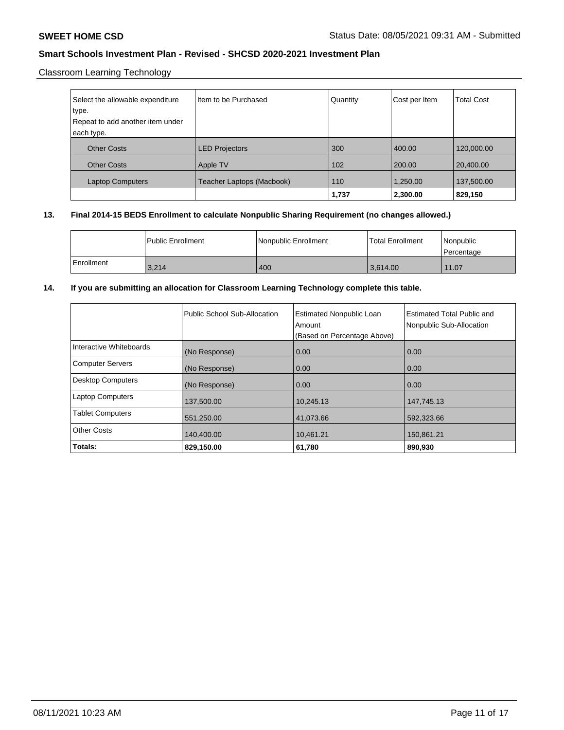## Classroom Learning Technology

| Select the allowable expenditure | I Item to be Purchased    | Quantity | Cost per Item | <b>Total Cost</b> |
|----------------------------------|---------------------------|----------|---------------|-------------------|
| type.                            |                           |          |               |                   |
| Repeat to add another item under |                           |          |               |                   |
| each type.                       |                           |          |               |                   |
| <b>Other Costs</b>               | <b>LED Projectors</b>     | 300      | 400.00        | 120,000.00        |
| <b>Other Costs</b>               | Apple TV                  | 102      | 200.00        | 20,400.00         |
| <b>Laptop Computers</b>          | Teacher Laptops (Macbook) | 110      | 1,250.00      | 137,500.00        |
|                                  |                           | 1,737    | 2,300.00      | 829,150           |

### **13. Final 2014-15 BEDS Enrollment to calculate Nonpublic Sharing Requirement (no changes allowed.)**

|            | l Public Enrollment | Nonpublic Enrollment | <b>Total Enrollment</b> | Nonpublic<br>l Percentage |
|------------|---------------------|----------------------|-------------------------|---------------------------|
| Enrollment | 3,214               | 400                  | 13.614.00               | 11.07                     |

### **14. If you are submitting an allocation for Classroom Learning Technology complete this table.**

|                          | Public School Sub-Allocation | <b>Estimated Nonpublic Loan</b><br>Amount<br>(Based on Percentage Above) | Estimated Total Public and<br>Nonpublic Sub-Allocation |
|--------------------------|------------------------------|--------------------------------------------------------------------------|--------------------------------------------------------|
| Interactive Whiteboards  | (No Response)                | 0.00                                                                     | 0.00                                                   |
| <b>Computer Servers</b>  | (No Response)                | 0.00                                                                     | 0.00                                                   |
| <b>Desktop Computers</b> | (No Response)                | 0.00                                                                     | 0.00                                                   |
| <b>Laptop Computers</b>  | 137,500.00                   | 10,245.13                                                                | 147,745.13                                             |
| <b>Tablet Computers</b>  | 551,250.00                   | 41,073.66                                                                | 592,323.66                                             |
| <b>Other Costs</b>       | 140.400.00                   | 10.461.21                                                                | 150,861.21                                             |
| Totals:                  | 829,150.00                   | 61,780                                                                   | 890,930                                                |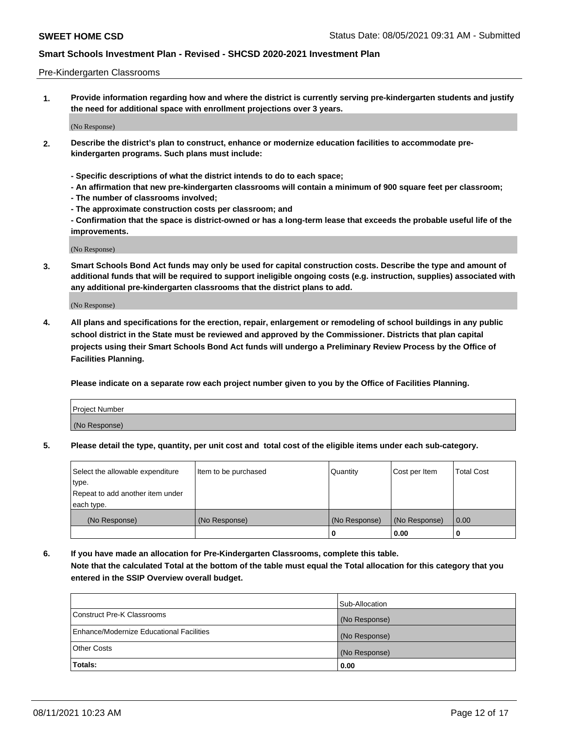#### Pre-Kindergarten Classrooms

**1. Provide information regarding how and where the district is currently serving pre-kindergarten students and justify the need for additional space with enrollment projections over 3 years.**

(No Response)

- **2. Describe the district's plan to construct, enhance or modernize education facilities to accommodate prekindergarten programs. Such plans must include:**
	- **Specific descriptions of what the district intends to do to each space;**
	- **An affirmation that new pre-kindergarten classrooms will contain a minimum of 900 square feet per classroom;**
	- **The number of classrooms involved;**
	- **The approximate construction costs per classroom; and**
	- **Confirmation that the space is district-owned or has a long-term lease that exceeds the probable useful life of the improvements.**

(No Response)

**3. Smart Schools Bond Act funds may only be used for capital construction costs. Describe the type and amount of additional funds that will be required to support ineligible ongoing costs (e.g. instruction, supplies) associated with any additional pre-kindergarten classrooms that the district plans to add.**

(No Response)

**4. All plans and specifications for the erection, repair, enlargement or remodeling of school buildings in any public school district in the State must be reviewed and approved by the Commissioner. Districts that plan capital projects using their Smart Schools Bond Act funds will undergo a Preliminary Review Process by the Office of Facilities Planning.**

**Please indicate on a separate row each project number given to you by the Office of Facilities Planning.**

| Project Number |  |
|----------------|--|
| (No Response)  |  |
|                |  |

**5. Please detail the type, quantity, per unit cost and total cost of the eligible items under each sub-category.**

| Select the allowable expenditure | Item to be purchased | Quantity      | Cost per Item | <b>Total Cost</b> |
|----------------------------------|----------------------|---------------|---------------|-------------------|
| type.                            |                      |               |               |                   |
| Repeat to add another item under |                      |               |               |                   |
| each type.                       |                      |               |               |                   |
| (No Response)                    | (No Response)        | (No Response) | (No Response) | 0.00              |
|                                  |                      | υ             | 0.00          |                   |

**6. If you have made an allocation for Pre-Kindergarten Classrooms, complete this table. Note that the calculated Total at the bottom of the table must equal the Total allocation for this category that you entered in the SSIP Overview overall budget.**

|                                          | Sub-Allocation |
|------------------------------------------|----------------|
| Construct Pre-K Classrooms               | (No Response)  |
| Enhance/Modernize Educational Facilities | (No Response)  |
| <b>Other Costs</b>                       | (No Response)  |
| Totals:                                  | 0.00           |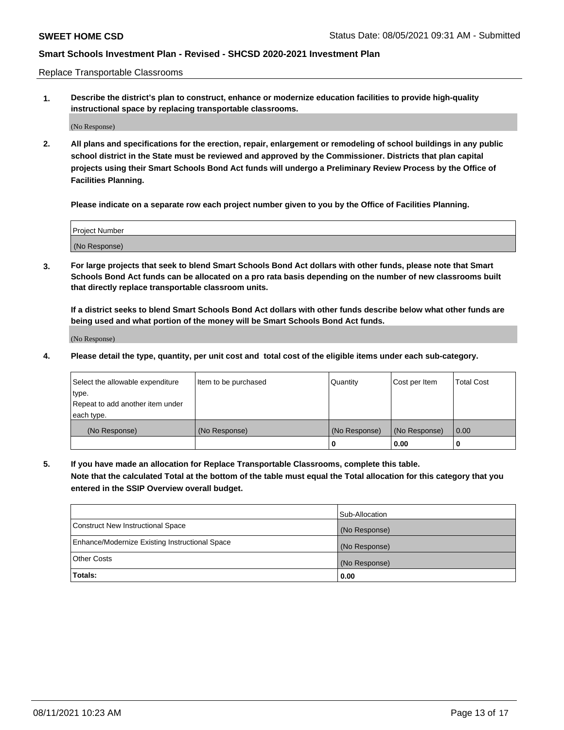Replace Transportable Classrooms

**1. Describe the district's plan to construct, enhance or modernize education facilities to provide high-quality instructional space by replacing transportable classrooms.**

(No Response)

**2. All plans and specifications for the erection, repair, enlargement or remodeling of school buildings in any public school district in the State must be reviewed and approved by the Commissioner. Districts that plan capital projects using their Smart Schools Bond Act funds will undergo a Preliminary Review Process by the Office of Facilities Planning.**

**Please indicate on a separate row each project number given to you by the Office of Facilities Planning.**

| Project Number |  |
|----------------|--|
|                |  |
| (No Response)  |  |

**3. For large projects that seek to blend Smart Schools Bond Act dollars with other funds, please note that Smart Schools Bond Act funds can be allocated on a pro rata basis depending on the number of new classrooms built that directly replace transportable classroom units.**

**If a district seeks to blend Smart Schools Bond Act dollars with other funds describe below what other funds are being used and what portion of the money will be Smart Schools Bond Act funds.**

(No Response)

**4. Please detail the type, quantity, per unit cost and total cost of the eligible items under each sub-category.**

| Select the allowable expenditure | Item to be purchased | Quantity      | Cost per Item | Total Cost |
|----------------------------------|----------------------|---------------|---------------|------------|
| ∣type.                           |                      |               |               |            |
| Repeat to add another item under |                      |               |               |            |
| each type.                       |                      |               |               |            |
| (No Response)                    | (No Response)        | (No Response) | (No Response) | 0.00       |
|                                  |                      | u             | 0.00          |            |

**5. If you have made an allocation for Replace Transportable Classrooms, complete this table. Note that the calculated Total at the bottom of the table must equal the Total allocation for this category that you entered in the SSIP Overview overall budget.**

|                                                | Sub-Allocation |
|------------------------------------------------|----------------|
| Construct New Instructional Space              | (No Response)  |
| Enhance/Modernize Existing Instructional Space | (No Response)  |
| Other Costs                                    | (No Response)  |
| Totals:                                        | 0.00           |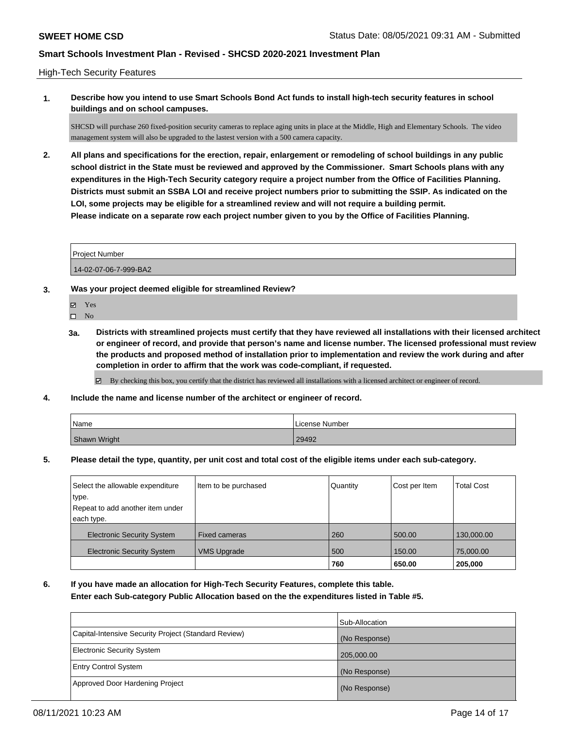#### High-Tech Security Features

**1. Describe how you intend to use Smart Schools Bond Act funds to install high-tech security features in school buildings and on school campuses.**

SHCSD will purchase 260 fixed-position security cameras to replace aging units in place at the Middle, High and Elementary Schools. The video management system will also be upgraded to the lastest version with a 500 camera capacity.

**2. All plans and specifications for the erection, repair, enlargement or remodeling of school buildings in any public school district in the State must be reviewed and approved by the Commissioner. Smart Schools plans with any expenditures in the High-Tech Security category require a project number from the Office of Facilities Planning. Districts must submit an SSBA LOI and receive project numbers prior to submitting the SSIP. As indicated on the LOI, some projects may be eligible for a streamlined review and will not require a building permit. Please indicate on a separate row each project number given to you by the Office of Facilities Planning.**

14-02-07-06-7-999-BA2

- **3. Was your project deemed eligible for streamlined Review?**
	- Yes
	- $\hfill \square$  No
	- **3a. Districts with streamlined projects must certify that they have reviewed all installations with their licensed architect or engineer of record, and provide that person's name and license number. The licensed professional must review the products and proposed method of installation prior to implementation and review the work during and after completion in order to affirm that the work was code-compliant, if requested.**

By checking this box, you certify that the district has reviewed all installations with a licensed architect or engineer of record.

**4. Include the name and license number of the architect or engineer of record.**

| Name         | License Number |
|--------------|----------------|
| Shawn Wright | 29492          |

**5. Please detail the type, quantity, per unit cost and total cost of the eligible items under each sub-category.**

| Select the allowable expenditure<br>type.<br>Repeat to add another item under<br>each type. | Item to be purchased | Quantity | Cost per Item | <b>Total Cost</b> |
|---------------------------------------------------------------------------------------------|----------------------|----------|---------------|-------------------|
| <b>Electronic Security System</b>                                                           | <b>Fixed cameras</b> | 260      | 500.00        | 130,000.00        |
| <b>Electronic Security System</b>                                                           | <b>VMS Upgrade</b>   | 500      | 150.00        | 75,000.00         |
|                                                                                             |                      | 760      | 650.00        | 205,000           |

**6. If you have made an allocation for High-Tech Security Features, complete this table.**

**Enter each Sub-category Public Allocation based on the the expenditures listed in Table #5.**

|                                                      | Sub-Allocation |
|------------------------------------------------------|----------------|
| Capital-Intensive Security Project (Standard Review) | (No Response)  |
| Electronic Security System                           | 205,000.00     |
| <b>Entry Control System</b>                          | (No Response)  |
| Approved Door Hardening Project                      | (No Response)  |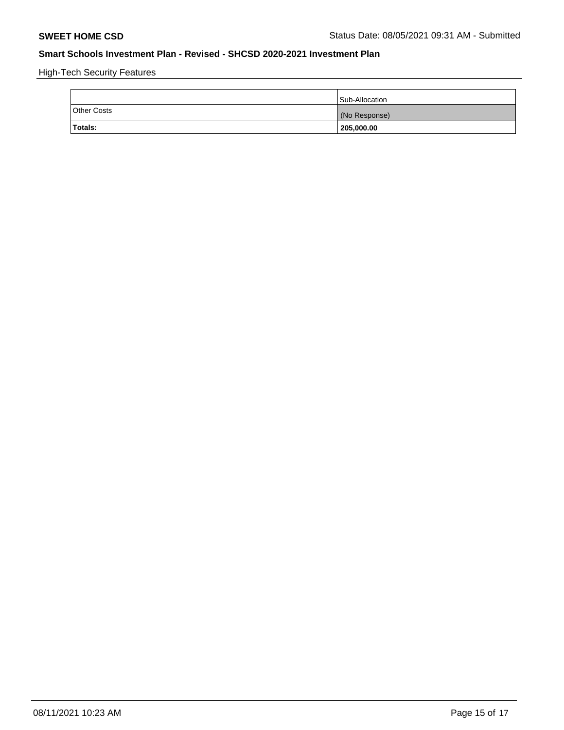High-Tech Security Features

|                    | Sub-Allocation |
|--------------------|----------------|
| <b>Other Costs</b> | (No Response)  |
| Totals:            | 205,000.00     |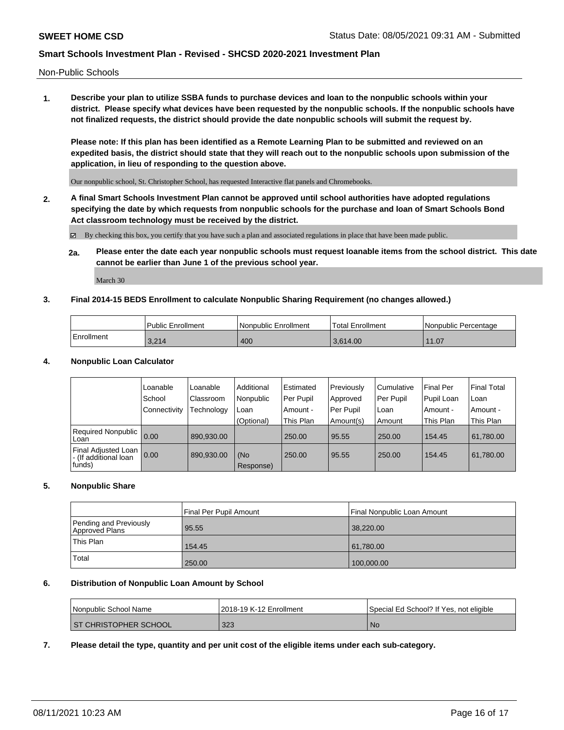Non-Public Schools

**1. Describe your plan to utilize SSBA funds to purchase devices and loan to the nonpublic schools within your district. Please specify what devices have been requested by the nonpublic schools. If the nonpublic schools have not finalized requests, the district should provide the date nonpublic schools will submit the request by.**

**Please note: If this plan has been identified as a Remote Learning Plan to be submitted and reviewed on an expedited basis, the district should state that they will reach out to the nonpublic schools upon submission of the application, in lieu of responding to the question above.**

Our nonpublic school, St. Christopher School, has requested Interactive flat panels and Chromebooks.

**2. A final Smart Schools Investment Plan cannot be approved until school authorities have adopted regulations specifying the date by which requests from nonpublic schools for the purchase and loan of Smart Schools Bond Act classroom technology must be received by the district.**

By checking this box, you certify that you have such a plan and associated regulations in place that have been made public.

**2a. Please enter the date each year nonpublic schools must request loanable items from the school district. This date cannot be earlier than June 1 of the previous school year.**

March 30

#### **3. Final 2014-15 BEDS Enrollment to calculate Nonpublic Sharing Requirement (no changes allowed.)**

|              | <b>Public Enrollment</b> | Nonpublic Enrollment | 'Total Enrollment | l Nonpublic Percentage |
|--------------|--------------------------|----------------------|-------------------|------------------------|
| l Enrollment | 3.214                    | 400                  | 3.614.00          | 11.07                  |

#### **4. Nonpublic Loan Calculator**

|                                                         | Loanable       | Loanable   | Additional       | Estimated | Previously | l Cumulative | <b>Final Per</b> | <b>Final Total</b> |
|---------------------------------------------------------|----------------|------------|------------------|-----------|------------|--------------|------------------|--------------------|
|                                                         | School         | Classroom  | Nonpublic        | Per Pupil | Approved   | Per Pupil    | Pupil Loan       | Loan               |
|                                                         | l Connectivity | Technology | Loan             | Amount -  | Per Pupil  | l Loan       | Amount -         | Amount -           |
|                                                         |                |            | (Optional)       | This Plan | Amount(s)  | Amount       | This Plan        | This Plan          |
| Required Nonpublic 0.00<br>Loan                         |                | 890.930.00 |                  | 250.00    | 95.55      | 250.00       | 154.45           | 61,780.00          |
| Final Adjusted Loan<br> - (If additional loan<br>funds) | 0.00           | 890.930.00 | (No<br>Response) | 250.00    | 95.55      | 250.00       | 154.45           | 61,780.00          |

#### **5. Nonpublic Share**

|                                          | Final Per Pupil Amount | l Final Nonpublic Loan Amount |
|------------------------------------------|------------------------|-------------------------------|
| Pending and Previously<br>Approved Plans | 95.55                  | 38,220.00                     |
| This Plan                                | 154.45                 | 61,780.00                     |
| Total                                    | 250.00                 | 100,000.00                    |

### **6. Distribution of Nonpublic Loan Amount by School**

| Nonpublic School Name        | 2018-19 K-12 Enrollment | Special Ed School? If Yes, not eligible |
|------------------------------|-------------------------|-----------------------------------------|
| <b>ST CHRISTOPHER SCHOOL</b> | 323                     | N0                                      |

**7. Please detail the type, quantity and per unit cost of the eligible items under each sub-category.**